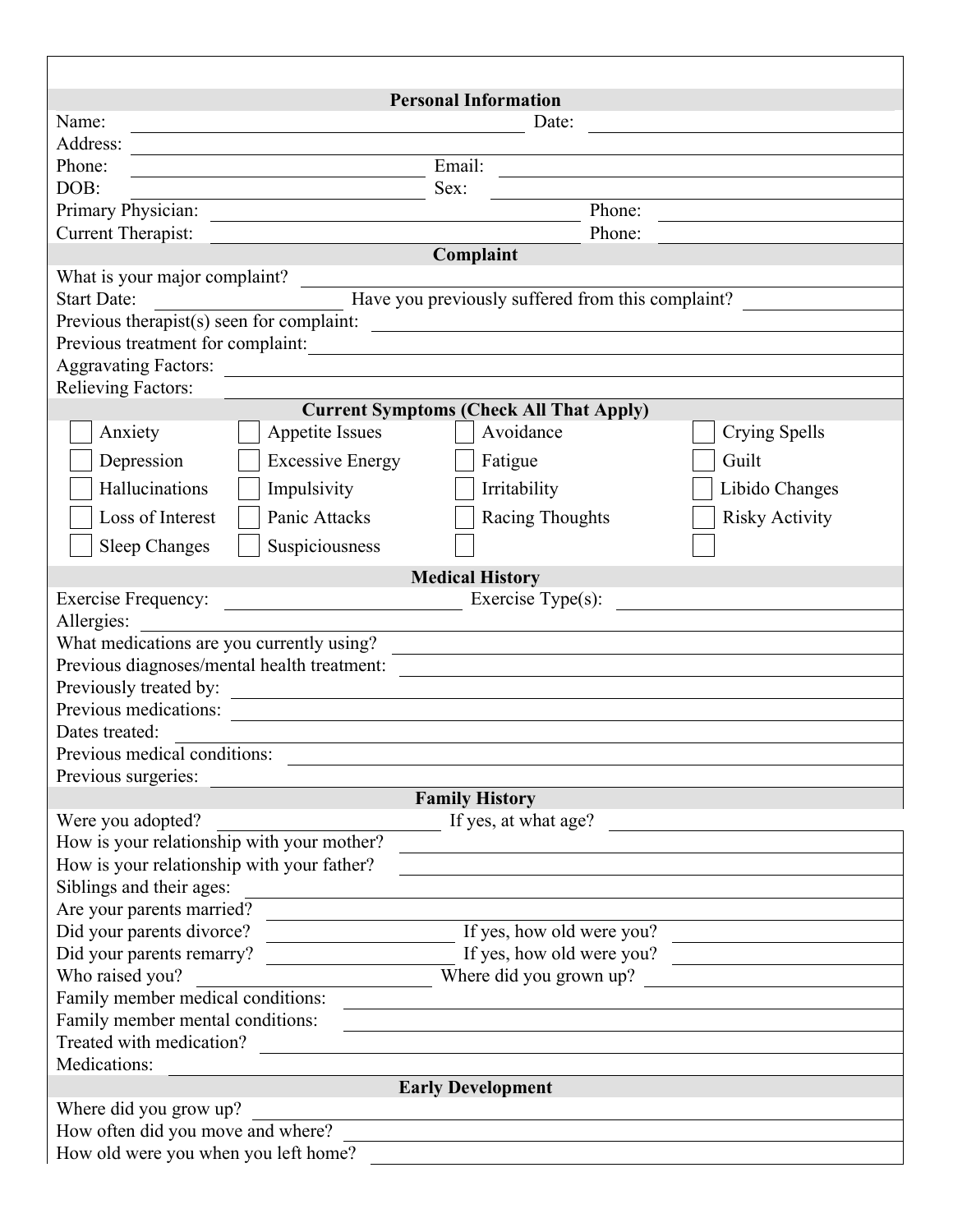| <b>Personal Information</b>                                                                                                                                                                                                                                                                                                                                                                                                                                      |                       |
|------------------------------------------------------------------------------------------------------------------------------------------------------------------------------------------------------------------------------------------------------------------------------------------------------------------------------------------------------------------------------------------------------------------------------------------------------------------|-----------------------|
| Name:<br>Date:                                                                                                                                                                                                                                                                                                                                                                                                                                                   |                       |
| Address:                                                                                                                                                                                                                                                                                                                                                                                                                                                         |                       |
| $\overline{\text{Email}}$<br>Phone:                                                                                                                                                                                                                                                                                                                                                                                                                              |                       |
| DOB:<br>Sex:                                                                                                                                                                                                                                                                                                                                                                                                                                                     |                       |
| Primary Physician:<br>Phone:                                                                                                                                                                                                                                                                                                                                                                                                                                     |                       |
| Current Therapist:<br>Phone:<br><u> 1980 - Jan Stein Stein Stein Stein Stein Stein Stein Stein Stein Stein Stein Stein Stein Stein Stein Stein S</u>                                                                                                                                                                                                                                                                                                             |                       |
| Complaint                                                                                                                                                                                                                                                                                                                                                                                                                                                        |                       |
| What is your major complaint?                                                                                                                                                                                                                                                                                                                                                                                                                                    |                       |
| Have you previously suffered from this complaint?<br><b>Start Date:</b>                                                                                                                                                                                                                                                                                                                                                                                          |                       |
| Previous therapist(s) seen for complaint:                                                                                                                                                                                                                                                                                                                                                                                                                        |                       |
| Previous treatment for complaint:                                                                                                                                                                                                                                                                                                                                                                                                                                |                       |
| <b>Aggravating Factors:</b><br><u> 1989 - John Stein, Amerikaansk politiker (</u>                                                                                                                                                                                                                                                                                                                                                                                |                       |
| <b>Relieving Factors:</b>                                                                                                                                                                                                                                                                                                                                                                                                                                        |                       |
| <b>Current Symptoms (Check All That Apply)</b>                                                                                                                                                                                                                                                                                                                                                                                                                   |                       |
| Avoidance<br>Anxiety<br><b>Appetite Issues</b>                                                                                                                                                                                                                                                                                                                                                                                                                   | Crying Spells         |
| Depression<br><b>Excessive Energy</b><br>Fatigue<br>Guilt                                                                                                                                                                                                                                                                                                                                                                                                        |                       |
|                                                                                                                                                                                                                                                                                                                                                                                                                                                                  |                       |
| Hallucinations<br>Impulsivity<br>Irritability                                                                                                                                                                                                                                                                                                                                                                                                                    | Libido Changes        |
| Loss of Interest<br>Panic Attacks<br><b>Racing Thoughts</b>                                                                                                                                                                                                                                                                                                                                                                                                      | <b>Risky Activity</b> |
| Suspiciousness<br><b>Sleep Changes</b>                                                                                                                                                                                                                                                                                                                                                                                                                           |                       |
| <b>Medical History</b>                                                                                                                                                                                                                                                                                                                                                                                                                                           |                       |
| $\overline{\phantom{a}}$ Exercise Type(s):<br><b>Exercise Frequency:</b>                                                                                                                                                                                                                                                                                                                                                                                         |                       |
| Allergies:                                                                                                                                                                                                                                                                                                                                                                                                                                                       |                       |
| What medications are you currently using?                                                                                                                                                                                                                                                                                                                                                                                                                        |                       |
| <u>and the state of the state of the state of the state of the state of the state of the state of the state of th</u><br>Previous diagnoses/mental health treatment:                                                                                                                                                                                                                                                                                             |                       |
|                                                                                                                                                                                                                                                                                                                                                                                                                                                                  |                       |
| Previous medications:                                                                                                                                                                                                                                                                                                                                                                                                                                            |                       |
| Dates treated:                                                                                                                                                                                                                                                                                                                                                                                                                                                   |                       |
| Previous medical conditions:                                                                                                                                                                                                                                                                                                                                                                                                                                     |                       |
| Previous surgeries:                                                                                                                                                                                                                                                                                                                                                                                                                                              |                       |
| <b>Family History</b>                                                                                                                                                                                                                                                                                                                                                                                                                                            |                       |
| Were you adopted?<br>If yes, at what age?                                                                                                                                                                                                                                                                                                                                                                                                                        |                       |
| How is your relationship with your mother?                                                                                                                                                                                                                                                                                                                                                                                                                       |                       |
| How is your relationship with your father?                                                                                                                                                                                                                                                                                                                                                                                                                       |                       |
| Siblings and their ages:                                                                                                                                                                                                                                                                                                                                                                                                                                         |                       |
| Are your parents married?                                                                                                                                                                                                                                                                                                                                                                                                                                        |                       |
| $\frac{1}{\sqrt{1 + \frac{1}{\sqrt{1 + \frac{1}{\sqrt{1 + \frac{1}{\sqrt{1 + \frac{1}{\sqrt{1 + \frac{1}{\sqrt{1 + \frac{1}{\sqrt{1 + \frac{1}{\sqrt{1 + \frac{1}{\sqrt{1 + \frac{1}{\sqrt{1 + \frac{1}{\sqrt{1 + \frac{1}{\sqrt{1 + \frac{1}{\sqrt{1 + \frac{1}{\sqrt{1 + \frac{1}{\sqrt{1 + \frac{1}{\sqrt{1 + \frac{1}{\sqrt{1 + \frac{1}{\sqrt{1 + \frac{1}{\sqrt{1 + \frac{1}{\sqrt{1 + \frac{1}{\sqrt{1 + \frac{1}{\sqrt{1 +$<br>Did your parents divorce? |                       |
| Did your parents remarry?<br>If yes, how old were you?                                                                                                                                                                                                                                                                                                                                                                                                           |                       |
| Where did you grown up?<br>Who raised you?                                                                                                                                                                                                                                                                                                                                                                                                                       |                       |
| Family member medical conditions:                                                                                                                                                                                                                                                                                                                                                                                                                                |                       |
| Family member mental conditions:                                                                                                                                                                                                                                                                                                                                                                                                                                 |                       |
| Treated with medication?                                                                                                                                                                                                                                                                                                                                                                                                                                         |                       |
| Medications:                                                                                                                                                                                                                                                                                                                                                                                                                                                     |                       |
| <b>Early Development</b>                                                                                                                                                                                                                                                                                                                                                                                                                                         |                       |
| Where did you grow up?                                                                                                                                                                                                                                                                                                                                                                                                                                           |                       |
| How often did you move and where?                                                                                                                                                                                                                                                                                                                                                                                                                                |                       |
| How old were you when you left home?                                                                                                                                                                                                                                                                                                                                                                                                                             |                       |
|                                                                                                                                                                                                                                                                                                                                                                                                                                                                  |                       |